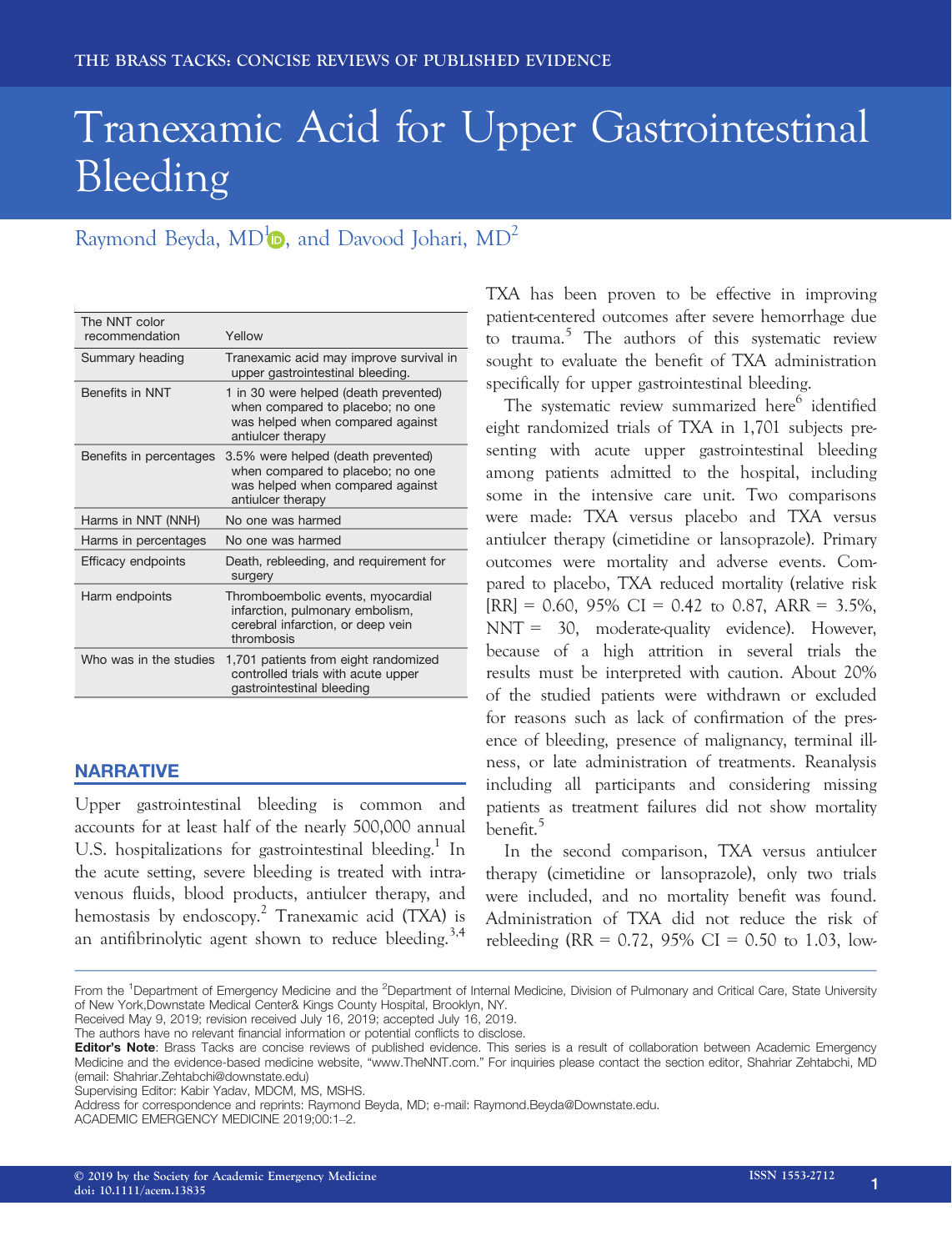# Tranexamic Acid for Upper Gastrointestinal Bleeding

## Raymond Beyda[,](https://orcid.org/0000-0001-5697-3985)  $MD^1$  $MD^1$ , and Davood Johari,  $MD^2$

| The NNT color<br>recommendation | Yellow                                                                                                                             |
|---------------------------------|------------------------------------------------------------------------------------------------------------------------------------|
| Summary heading                 | Tranexamic acid may improve survival in<br>upper gastrointestinal bleeding.                                                        |
| <b>Benefits in NNT</b>          | 1 in 30 were helped (death prevented)<br>when compared to placebo; no one<br>was helped when compared against<br>antiulcer therapy |
| Benefits in percentages         | 3.5% were helped (death prevented)<br>when compared to placebo; no one<br>was helped when compared against<br>antiulcer therapy    |
| Harms in NNT (NNH)              | No one was harmed                                                                                                                  |
| Harms in percentages            | No one was harmed                                                                                                                  |
| Efficacy endpoints              | Death, rebleeding, and requirement for<br>surgery                                                                                  |
| Harm endpoints                  | Thromboembolic events, myocardial<br>infarction, pulmonary embolism,<br>cerebral infarction, or deep vein<br>thrombosis            |
| Who was in the studies          | 1,701 patients from eight randomized<br>controlled trials with acute upper<br>gastrointestinal bleeding                            |

### NARRATIVE

Upper gastrointestinal bleeding is common and accounts for at least half of the nearly 500,000 annual U.S. hospitalizations for gastrointestinal bleeding.<sup>1</sup> In the acute setting, severe bleeding is treated with intravenous fluids, blood products, antiulcer therapy, and hemostasis by endoscopy.<sup>2</sup> Tranexamic acid (TXA) is an antifibrinolytic agent shown to reduce bleeding.<sup>3,4</sup>

TXA has been proven to be effective in improving patient-centered outcomes after severe hemorrhage due to trauma.<sup>5</sup> The authors of this systematic review sought to evaluate the benefit of TXA administration specifically for upper gastrointestinal bleeding.

The systematic review summarized here<sup>6</sup> identified eight randomized trials of TXA in 1,701 subjects presenting with acute upper gastrointestinal bleeding among patients admitted to the hospital, including some in the intensive care unit. Two comparisons were made: TXA versus placebo and TXA versus antiulcer therapy (cimetidine or lansoprazole). Primary outcomes were mortality and adverse events. Compared to placebo, TXA reduced mortality (relative risk  $[RR] = 0.60, 95\% \text{ CI} = 0.42 \text{ to } 0.87, ARR = 3.5\%,$ NNT = 30, moderate-quality evidence). However, because of a high attrition in several trials the results must be interpreted with caution. About 20% of the studied patients were withdrawn or excluded for reasons such as lack of confirmation of the presence of bleeding, presence of malignancy, terminal illness, or late administration of treatments. Reanalysis including all participants and considering missing patients as treatment failures did not show mortality benefit.<sup>5</sup>

In the second comparison, TXA versus antiulcer therapy (cimetidine or lansoprazole), only two trials were included, and no mortality benefit was found. Administration of TXA did not reduce the risk of rebleeding (RR = 0.72, 95% CI = 0.50 to 1.03, low-

From the <sup>1</sup>Department of Emergency Medicine and the <sup>2</sup>Department of Internal Medicine, Division of Pulmonary and Critical Care, State University of New York,Downstate Medical Center& Kings County Hospital, Brooklyn, NY.

Received May 9, 2019; revision received July 16, 2019; accepted July 16, 2019.

The authors have no relevant financial information or potential conflicts to disclose.

Editor's Note: Brass Tacks are concise reviews of published evidence. This series is a result of collaboration between Academic Emergency Medicine and the evidence-based medicine website, "www.TheNNT.com." For inquiries please contact the section editor, Shahriar Zehtabchi, MD (email: Shahriar.Zehtabchi@downstate.edu)

Supervising Editor: Kabir Yadav, MDCM, MS, MSHS.

Address for correspondence and reprints: Raymond Beyda, MD; e-mail: [Raymond.Beyda@Downstate.edu.](mailto:)

ACADEMIC EMERGENCY MEDICINE 2019;00:1–2.